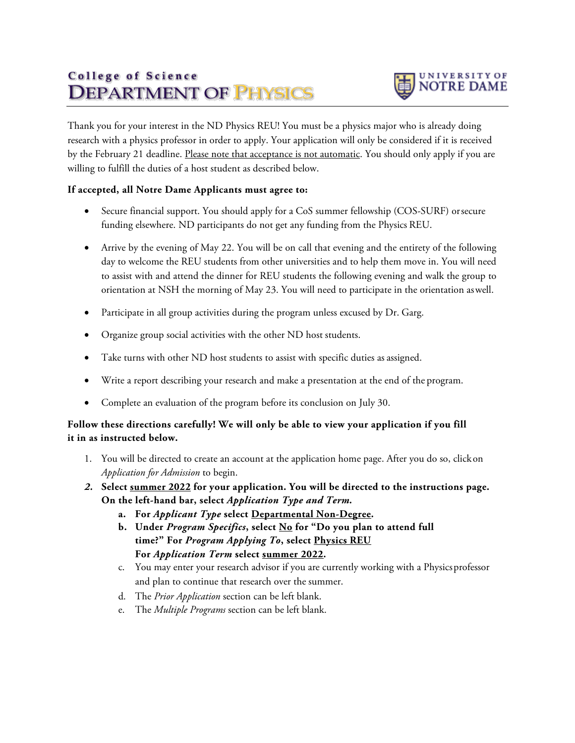## College of Science **DEPARTMENT OF PENSICS**



Thank you for your interest in the ND Physics REU! You must be a physics major who is already doing research with a physics professor in order to apply. Your application will only be considered if it is received by the February 21 deadline. Please note that acceptance is not automatic. You should only apply if you are willing to fulfill the duties of a host student as described below.

## **If accepted, all Notre Dame Applicants must agree to:**

- Secure financial support. You should apply for a CoS summer fellowship (COS-SURF) orsecure funding elsewhere. ND participants do not get any funding from the Physics REU.
- Arrive by the evening of May 22. You will be on call that evening and the entirety of the following day to welcome the REU students from other universities and to help them move in. You will need to assist with and attend the dinner for REU students the following evening and walk the group to orientation at NSH the morning of May 23. You will need to participate in the orientation aswell.
- Participate in all group activities during the program unless excused by Dr. Garg.
- Organize group social activities with the other ND host students.
- Take turns with other ND host students to assist with specific duties as assigned.
- Write a report describing your research and make a presentation at the end of the program.
- Complete an evaluation of the program before its conclusion on July 30.

## **Follow these directions carefully! We will only be able to view your application if you fill it in as instructed below.**

- 1. You will be directed to create an account at the application home page. After you do so, click on *Application for Admission* to begin.
- *2.* **Select summer 2022 for your application. You will be directed to the instructions page. On the left-hand bar, select** *Application Type and Term.*
	- **a. For** *Applicant Type* **select Departmental Non-Degree.**
	- **b. Under** *Program Specifics***, select No for "Do you plan to attend full time?" For** *Program Applying To***, select Physics REU For** *Application Term* **select summer 2022.**
	- c. You may enter your research advisor if you are currently working with a Physicsprofessor and plan to continue that research over the summer.
	- d. The *Prior Application* section can be left blank.
	- e. The *Multiple Programs* section can be left blank.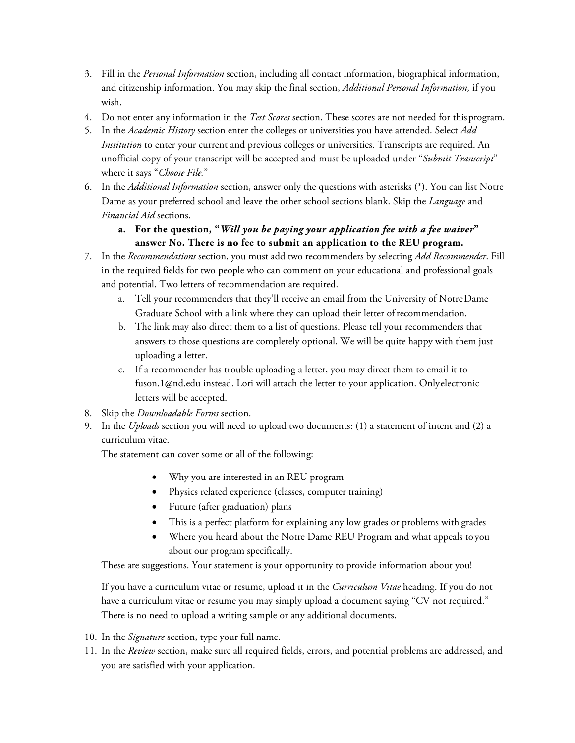- 3. Fill in the *Personal Information* section, including all contact information, biographical information, and citizenship information. You may skip the final section, *Additional Personal Information,* if you wish.
- 4. Do not enter any information in the *Test Scores* section. These scores are not needed for thisprogram.
- 5. In the *Academic History* section enter the colleges or universities you have attended. Select *Add Institution* to enter your current and previous colleges or universities. Transcripts are required. An unofficial copy of your transcript will be accepted and must be uploaded under "*Submit Transcript*" where it says "*Choose File.*"
- 6. In the *Additional Information* section, answer only the questions with asterisks (\*). You can list Notre Dame as your preferred school and leave the other school sections blank. Skip the *Language* and *Financial Aid* sections.
	- **a. For the question, "***Will you be paying your application fee with a fee waiver***" answer No. There is no fee to submit an application to the REU program.**
- 7. In the *Recommendations* section, you must add two recommenders by selecting *Add Recommender*. Fill in the required fields for two people who can comment on your educational and professional goals and potential. Two letters of recommendation are required.
	- a. Tell your recommenders that they'll receive an email from the University of NotreDame Graduate School with a link where they can upload their letter ofrecommendation.
	- b. The link may also direct them to a list of questions. Please tell your recommenders that answers to those questions are completely optional. We will be quite happy with them just uploading a letter.
	- c. If a recommender has trouble uploading a letter, you may direct them to email it to [fuson.1@nd.edu i](mailto:fuson.1@nd.edu)nstead. Lori will attach the letter to your application. Onlyelectronic letters will be accepted.
- 8. Skip the *Downloadable Forms* section.
- 9. In the *Uploads* section you will need to upload two documents: (1) a statement of intent and (2) a curriculum vitae.

The statement can cover some or all of the following:

- Why you are interested in an REU program
- Physics related experience (classes, computer training)
- Future (after graduation) plans
- This is a perfect platform for explaining any low grades or problems with grades
- Where you heard about the Notre Dame REU Program and what appeals to you about our program specifically.

These are suggestions. Your statement is your opportunity to provide information about you!

If you have a curriculum vitae or resume, upload it in the *Curriculum Vitae* heading. If you do not have a curriculum vitae or resume you may simply upload a document saying "CV not required." There is no need to upload a writing sample or any additional documents.

- 10. In the *Signature* section, type your full name.
- 11. In the *Review* section, make sure all required fields, errors, and potential problems are addressed, and you are satisfied with your application.